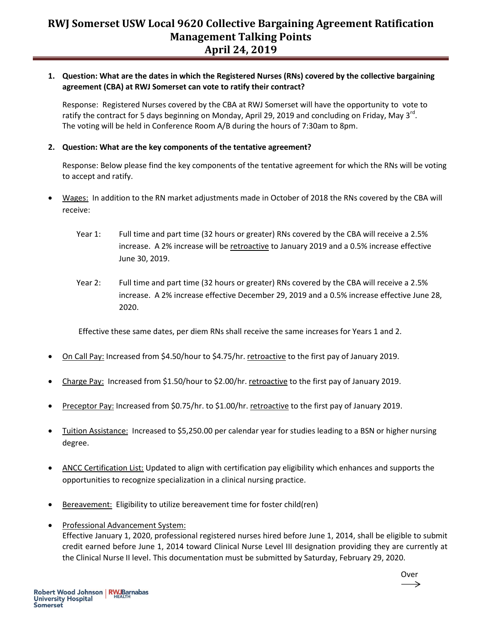# **RWJ Somerset USW Local 9620 Collective Bargaining Agreement Ratification Management Talking Points April 24, 2019**

# **1. Question: What are the dates in which the Registered Nurses (RNs) covered by the collective bargaining agreement (CBA) at RWJ Somerset can vote to ratify their contract?**

Response: Registered Nurses covered by the CBA at RWJ Somerset will have the opportunity to vote to ratify the contract for 5 days beginning on Monday, April 29, 2019 and concluding on Friday, May 3<sup>rd</sup>. The voting will be held in Conference Room A/B during the hours of 7:30am to 8pm.

# **2. Question: What are the key components of the tentative agreement?**

Response: Below please find the key components of the tentative agreement for which the RNs will be voting to accept and ratify.

- Wages: In addition to the RN market adjustments made in October of 2018 the RNs covered by the CBA will receive:
	- Year 1: Full time and part time (32 hours or greater) RNs covered by the CBA will receive a 2.5% increase. A 2% increase will be retroactive to January 2019 and a 0.5% increase effective June 30, 2019.
	- Year 2: Full time and part time (32 hours or greater) RNs covered by the CBA will receive a 2.5% increase. A 2% increase effective December 29, 2019 and a 0.5% increase effective June 28, 2020.

Effective these same dates, per diem RNs shall receive the same increases for Years 1 and 2.

- On Call Pay: Increased from \$4.50/hour to \$4.75/hr. retroactive to the first pay of January 2019.
- Charge Pay: Increased from \$1.50/hour to \$2.00/hr. retroactive to the first pay of January 2019.
- Preceptor Pay: Increased from \$0.75/hr. to \$1.00/hr. retroactive to the first pay of January 2019.
- Tuition Assistance: Increased to \$5,250.00 per calendar year for studies leading to a BSN or higher nursing degree.
- ANCC Certification List: Updated to align with certification pay eligibility which enhances and supports the opportunities to recognize specialization in a clinical nursing practice.
- Bereavement: Eligibility to utilize bereavement time for foster child(ren)
- Professional Advancement System:

Effective January 1, 2020, professional registered nurses hired before June 1, 2014, shall be eligible to submit credit earned before June 1, 2014 toward Clinical Nurse Level III designation providing they are currently at the Clinical Nurse II level. This documentation must be submitted by Saturday, February 29, 2020.